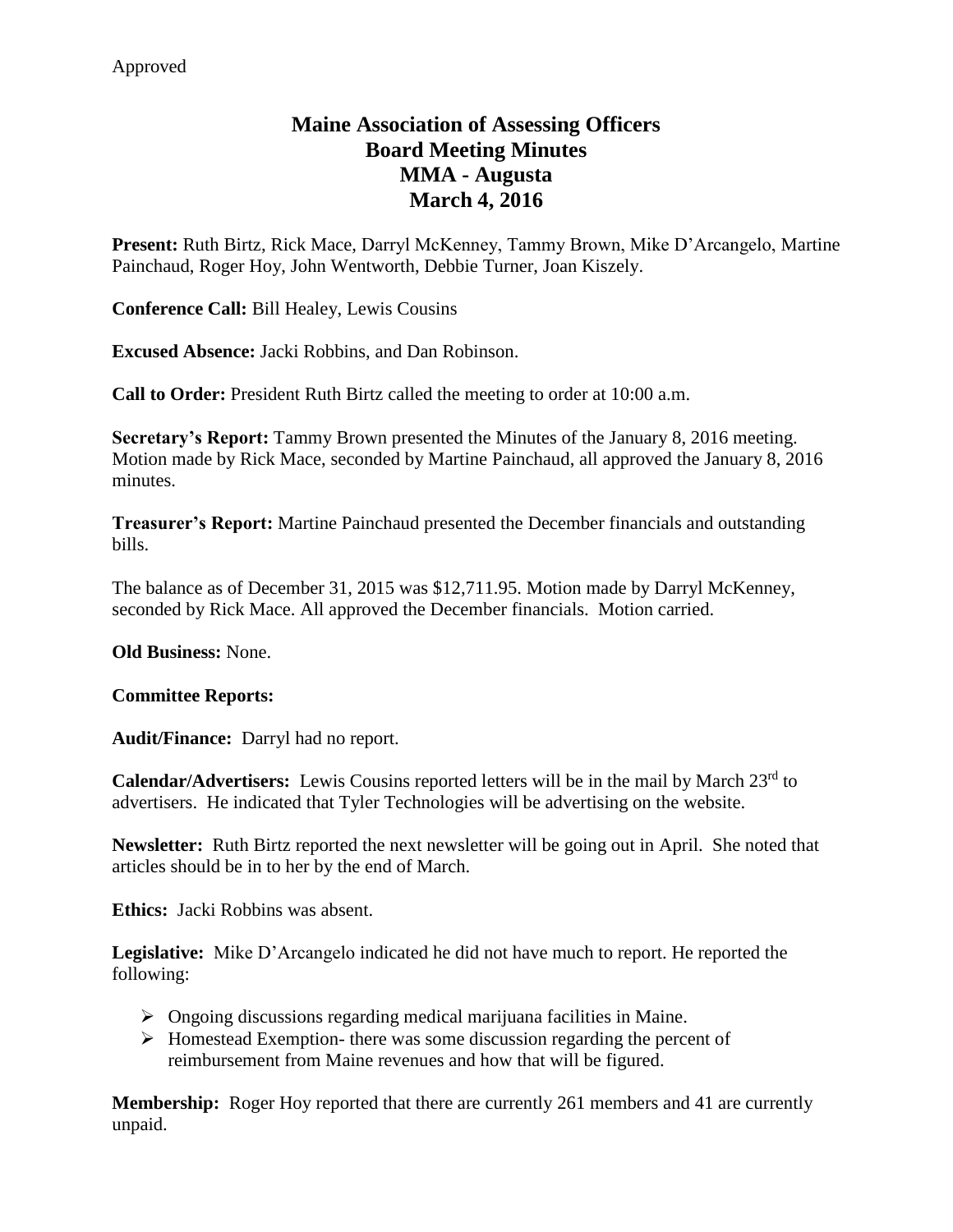## **Maine Association of Assessing Officers Board Meeting Minutes MMA - Augusta March 4, 2016**

**Present:** Ruth Birtz, Rick Mace, Darryl McKenney, Tammy Brown, Mike D'Arcangelo, Martine Painchaud, Roger Hoy, John Wentworth, Debbie Turner, Joan Kiszely.

**Conference Call:** Bill Healey, Lewis Cousins

**Excused Absence:** Jacki Robbins, and Dan Robinson.

**Call to Order:** President Ruth Birtz called the meeting to order at 10:00 a.m.

**Secretary's Report:** Tammy Brown presented the Minutes of the January 8, 2016 meeting. Motion made by Rick Mace, seconded by Martine Painchaud, all approved the January 8, 2016 minutes.

**Treasurer's Report:** Martine Painchaud presented the December financials and outstanding bills.

The balance as of December 31, 2015 was \$12,711.95. Motion made by Darryl McKenney, seconded by Rick Mace. All approved the December financials. Motion carried.

**Old Business:** None.

## **Committee Reports:**

**Audit/Finance:** Darryl had no report.

**Calendar/Advertisers:** Lewis Cousins reported letters will be in the mail by March 23rd to advertisers. He indicated that Tyler Technologies will be advertising on the website.

**Newsletter:** Ruth Birtz reported the next newsletter will be going out in April. She noted that articles should be in to her by the end of March.

**Ethics:** Jacki Robbins was absent.

**Legislative:** Mike D'Arcangelo indicated he did not have much to report. He reported the following:

- $\triangleright$  Ongoing discussions regarding medical marijuana facilities in Maine.
- $\triangleright$  Homestead Exemption- there was some discussion regarding the percent of reimbursement from Maine revenues and how that will be figured.

**Membership:** Roger Hoy reported that there are currently 261 members and 41 are currently unpaid.